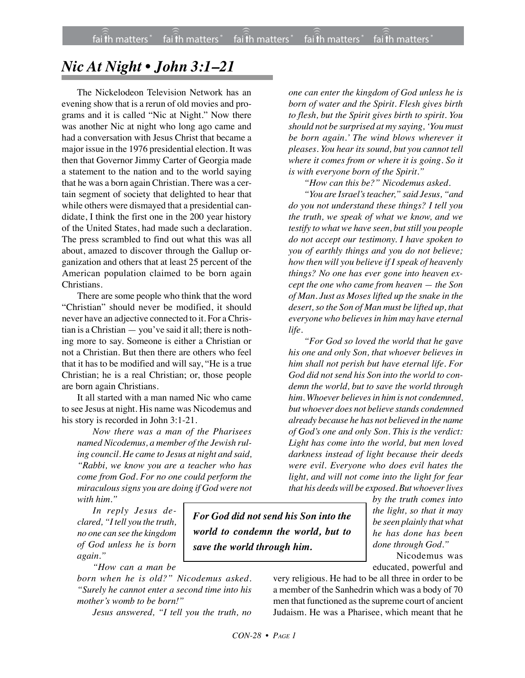## *Nic At Night • John 3:1–21*

The Nickelodeon Television Network has an evening show that is a rerun of old movies and programs and it is called "Nic at Night." Now there was another Nic at night who long ago came and had a conversation with Jesus Christ that became a major issue in the 1976 presidential election. It was then that Governor Jimmy Carter of Georgia made a statement to the nation and to the world saying that he was a born again Christian. There was a certain segment of society that delighted to hear that while others were dismayed that a presidential candidate, I think the first one in the 200 year history of the United States, had made such a declaration. The press scrambled to find out what this was all about, amazed to discover through the Gallup organization and others that at least 25 percent of the American population claimed to be born again Christians.

There are some people who think that the word "Christian" should never be modified, it should never have an adjective connected to it. For a Christian is a Christian — you've said it all; there is nothing more to say. Someone is either a Christian or not a Christian. But then there are others who feel that it has to be modified and will say, "He is a true Christian; he is a real Christian; or, those people are born again Christians.

It all started with a man named Nic who came to see Jesus at night. His name was Nicodemus and his story is recorded in John 3:1-21.

*Now there was a man of the Pharisees named Nicodemus, a member of the Jewish ruling council. He came to Jesus at night and said, "Rabbi, we know you are a teacher who has come from God. For no one could perform the miraculous signs you are doing if God were not with him."*

*In reply Jesus declared, "I tell you the truth, no one can see the kingdom of God unless he is born again."*

*"How can a man be*

*born when he is old?" Nicodemus asked. "Surely he cannot enter a second time into his mother's womb to be born!"*

*Jesus answered, "I tell you the truth, no*

*one can enter the kingdom of God unless he is born of water and the Spirit. Flesh gives birth to flesh, but the Spirit gives birth to spirit. You should not be surprised at my saying, 'You must be born again.' The wind blows wherever it pleases. You hear its sound, but you cannot tell where it comes from or where it is going. So it is with everyone born of the Spirit."*

*"How can this be?" Nicodemus asked.*

*"You are Israel's teacher," said Jesus, "and do you not understand these things? I tell you the truth, we speak of what we know, and we testify to what we have seen, but still you people do not accept our testimony. I have spoken to you of earthly things and you do not believe; how then will you believe if I speak of heavenly things? No one has ever gone into heaven except the one who came from heaven — the Son of Man. Just as Moses lifted up the snake in the desert, so the Son of Man must be lifted up, that everyone who believes in him may have eternal life.*

*"For God so loved the world that he gave his one and only Son, that whoever believes in him shall not perish but have eternal life. For God did not send his Son into the world to condemn the world, but to save the world through him. Whoever believes in him is not condemned, but whoever does not believe stands condemned already because he has not believed in the name of God's one and only Son. This is the verdict: Light has come into the world, but men loved darkness instead of light because their deeds were evil. Everyone who does evil hates the light, and will not come into the light for fear that his deeds will be exposed. But whoever lives*

> *by the truth comes into the light, so that it may be seen plainly that what he has done has been done through God."*

> Nicodemus was educated, powerful and

very religious. He had to be all three in order to be a member of the Sanhedrin which was a body of 70 men that functioned as the supreme court of ancient Judaism. He was a Pharisee, which meant that he

*For God did not send his Son into the world to condemn the world, but to*

*save the world through him.*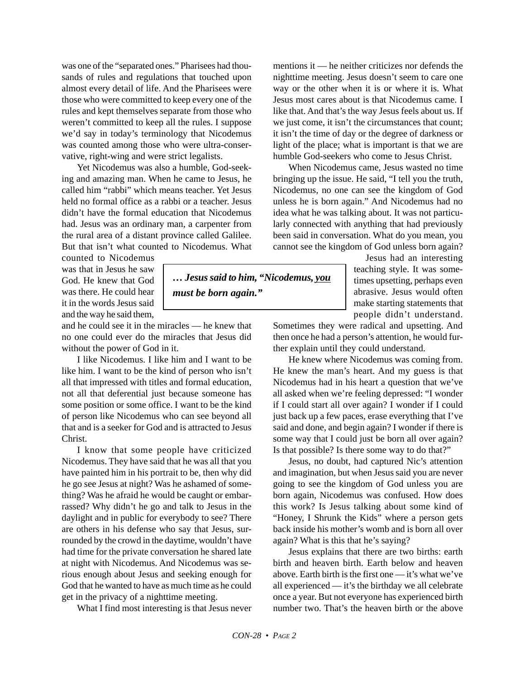was one of the "separated ones." Pharisees had thousands of rules and regulations that touched upon almost every detail of life. And the Pharisees were those who were committed to keep every one of the rules and kept themselves separate from those who weren't committed to keep all the rules. I suppose we'd say in today's terminology that Nicodemus was counted among those who were ultra-conservative, right-wing and were strict legalists.

Yet Nicodemus was also a humble, God-seeking and amazing man. When he came to Jesus, he called him "rabbi" which means teacher. Yet Jesus held no formal office as a rabbi or a teacher. Jesus didn't have the formal education that Nicodemus had. Jesus was an ordinary man, a carpenter from the rural area of a distant province called Galilee. But that isn't what counted to Nicodemus. What

counted to Nicodemus was that in Jesus he saw God. He knew that God was there. He could hear it in the words Jesus said and the way he said them,

and he could see it in the miracles — he knew that no one could ever do the miracles that Jesus did without the power of God in it.

I like Nicodemus. I like him and I want to be like him. I want to be the kind of person who isn't all that impressed with titles and formal education, not all that deferential just because someone has some position or some office. I want to be the kind of person like Nicodemus who can see beyond all that and is a seeker for God and is attracted to Jesus Christ.

I know that some people have criticized Nicodemus. They have said that he was all that you have painted him in his portrait to be, then why did he go see Jesus at night? Was he ashamed of something? Was he afraid he would be caught or embarrassed? Why didn't he go and talk to Jesus in the daylight and in public for everybody to see? There are others in his defense who say that Jesus, surrounded by the crowd in the daytime, wouldn't have had time for the private conversation he shared late at night with Nicodemus. And Nicodemus was serious enough about Jesus and seeking enough for God that he wanted to have as much time as he could get in the privacy of a nighttime meeting.

What I find most interesting is that Jesus never

mentions it — he neither criticizes nor defends the nighttime meeting. Jesus doesn't seem to care one way or the other when it is or where it is. What Jesus most cares about is that Nicodemus came. I like that. And that's the way Jesus feels about us. If we just come, it isn't the circumstances that count; it isn't the time of day or the degree of darkness or light of the place; what is important is that we are humble God-seekers who come to Jesus Christ.

When Nicodemus came, Jesus wasted no time bringing up the issue. He said, "I tell you the truth, Nicodemus, no one can see the kingdom of God unless he is born again." And Nicodemus had no idea what he was talking about. It was not particularly connected with anything that had previously been said in conversation. What do you mean, you cannot see the kingdom of God unless born again?

> Jesus had an interesting teaching style. It was sometimes upsetting, perhaps even abrasive. Jesus would often make starting statements that people didn't understand.

Sometimes they were radical and upsetting. And then once he had a person's attention, he would further explain until they could understand.

He knew where Nicodemus was coming from. He knew the man's heart. And my guess is that Nicodemus had in his heart a question that we've all asked when we're feeling depressed: "I wonder if I could start all over again? I wonder if I could just back up a few paces, erase everything that I've said and done, and begin again? I wonder if there is some way that I could just be born all over again? Is that possible? Is there some way to do that?"

Jesus, no doubt, had captured Nic's attention and imagination, but when Jesus said you are never going to see the kingdom of God unless you are born again, Nicodemus was confused. How does this work? Is Jesus talking about some kind of "Honey, I Shrunk the Kids" where a person gets back inside his mother's womb and is born all over again? What is this that he's saying?

Jesus explains that there are two births: earth birth and heaven birth. Earth below and heaven above. Earth birth is the first one — it's what we've all experienced — it's the birthday we all celebrate once a year. But not everyone has experienced birth number two. That's the heaven birth or the above

*… Jesus said to him, "Nicodemus, you must be born again."*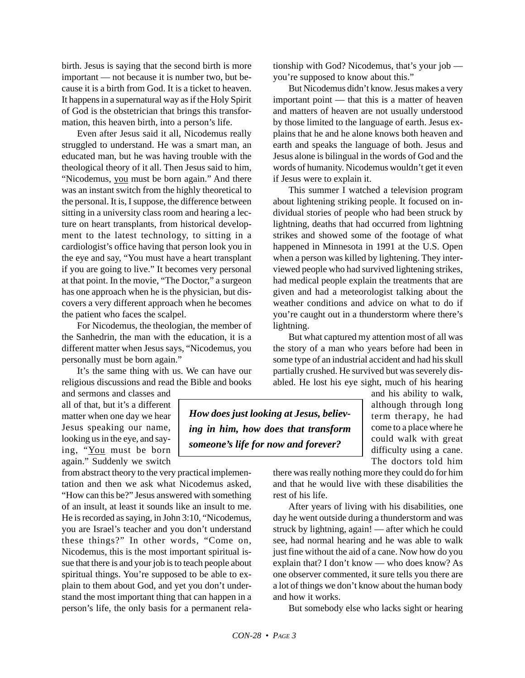birth. Jesus is saying that the second birth is more important — not because it is number two, but because it is a birth from God. It is a ticket to heaven. It happens in a supernatural way as if the Holy Spirit of God is the obstetrician that brings this transformation, this heaven birth, into a person's life.

Even after Jesus said it all, Nicodemus really struggled to understand. He was a smart man, an educated man, but he was having trouble with the theological theory of it all. Then Jesus said to him, "Nicodemus, you must be born again." And there was an instant switch from the highly theoretical to the personal. It is, I suppose, the difference between sitting in a university class room and hearing a lecture on heart transplants, from historical development to the latest technology, to sitting in a cardiologist's office having that person look you in the eye and say, "You must have a heart transplant if you are going to live." It becomes very personal at that point. In the movie, "The Doctor," a surgeon has one approach when he is the physician, but discovers a very different approach when he becomes the patient who faces the scalpel.

For Nicodemus, the theologian, the member of the Sanhedrin, the man with the education, it is a different matter when Jesus says, "Nicodemus, you personally must be born again."

It's the same thing with us. We can have our religious discussions and read the Bible and books

and sermons and classes and all of that, but it's a different matter when one day we hear Jesus speaking our name, looking us in the eye, and saying, "You must be born again." Suddenly we switch

from abstract theory to the very practical implementation and then we ask what Nicodemus asked, "How can this be?" Jesus answered with something of an insult, at least it sounds like an insult to me. He is recorded as saying, in John 3:10, "Nicodemus, you are Israel's teacher and you don't understand these things?" In other words, "Come on, Nicodemus, this is the most important spiritual issue that there is and your job is to teach people about spiritual things. You're supposed to be able to explain to them about God, and yet you don't understand the most important thing that can happen in a person's life, the only basis for a permanent relationship with God? Nicodemus, that's your job you're supposed to know about this."

But Nicodemus didn't know. Jesus makes a very important point — that this is a matter of heaven and matters of heaven are not usually understood by those limited to the language of earth. Jesus explains that he and he alone knows both heaven and earth and speaks the language of both. Jesus and Jesus alone is bilingual in the words of God and the words of humanity. Nicodemus wouldn't get it even if Jesus were to explain it.

This summer I watched a television program about lightening striking people. It focused on individual stories of people who had been struck by lightning, deaths that had occurred from lightning strikes and showed some of the footage of what happened in Minnesota in 1991 at the U.S. Open when a person was killed by lightening. They interviewed people who had survived lightening strikes, had medical people explain the treatments that are given and had a meteorologist talking about the weather conditions and advice on what to do if you're caught out in a thunderstorm where there's lightning.

But what captured my attention most of all was the story of a man who years before had been in some type of an industrial accident and had his skull partially crushed. He survived but was severely disabled. He lost his eye sight, much of his hearing

*How does just looking at Jesus, believing in him, how does that transform someone's life for now and forever?*

and his ability to walk, although through long term therapy, he had come to a place where he could walk with great difficulty using a cane. The doctors told him

there was really nothing more they could do for him and that he would live with these disabilities the rest of his life.

After years of living with his disabilities, one day he went outside during a thunderstorm and was struck by lightning, again! — after which he could see, had normal hearing and he was able to walk just fine without the aid of a cane. Now how do you explain that? I don't know — who does know? As one observer commented, it sure tells you there are a lot of things we don't know about the human body and how it works.

But somebody else who lacks sight or hearing